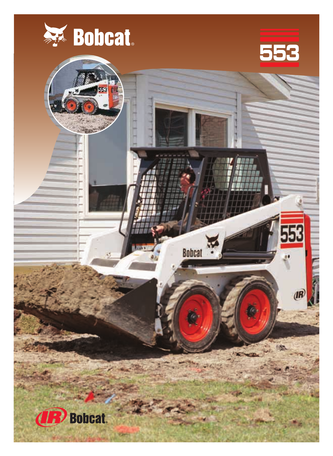